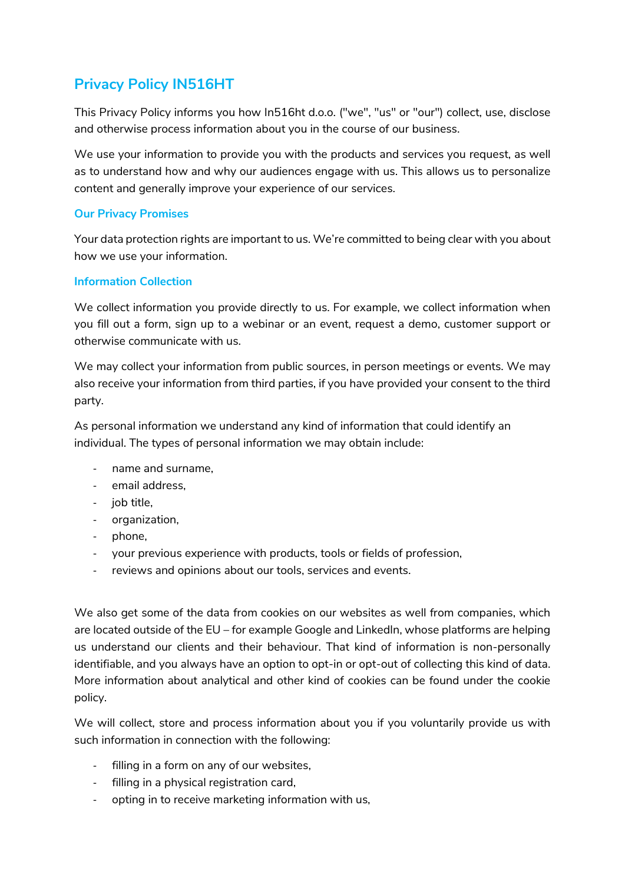# **Privacy Policy IN516HT**

This Privacy Policy informs you how In516ht d.o.o. ("we", "us" or "our") collect, use, disclose and otherwise process information about you in the course of our business.

We use your information to provide you with the products and services you request, as well as to understand how and why our audiences engage with us. This allows us to personalize content and generally improve your experience of our services.

### **Our Privacy Promises**

Your data protection rights are important to us. We're committed to being clear with you about how we use your information.

### **Information Collection**

We collect information you provide directly to us. For example, we collect information when you fill out a form, sign up to a webinar or an event, request a demo, customer support or otherwise communicate with us.

We may collect your information from public sources, in person meetings or events. We may also receive your information from third parties, if you have provided your consent to the third party.

As personal information we understand any kind of information that could identify an individual. The types of personal information we may obtain include:

- name and surname,
- email address,
- iob title.
- organization,
- phone,
- your previous experience with products, tools or fields of profession,
- reviews and opinions about our tools, services and events.

We also get some of the data from cookies on our websites as well from companies, which are located outside of the EU – for example Google and LinkedIn, whose platforms are helping us understand our clients and their behaviour. That kind of information is non-personally identifiable, and you always have an option to opt-in or opt-out of collecting this kind of data. More information about analytical and other kind of cookies can be found under the cookie policy.

We will collect, store and process information about you if you voluntarily provide us with such information in connection with the following:

- filling in a form on any of our websites,
- filling in a physical registration card,
- opting in to receive marketing information with us,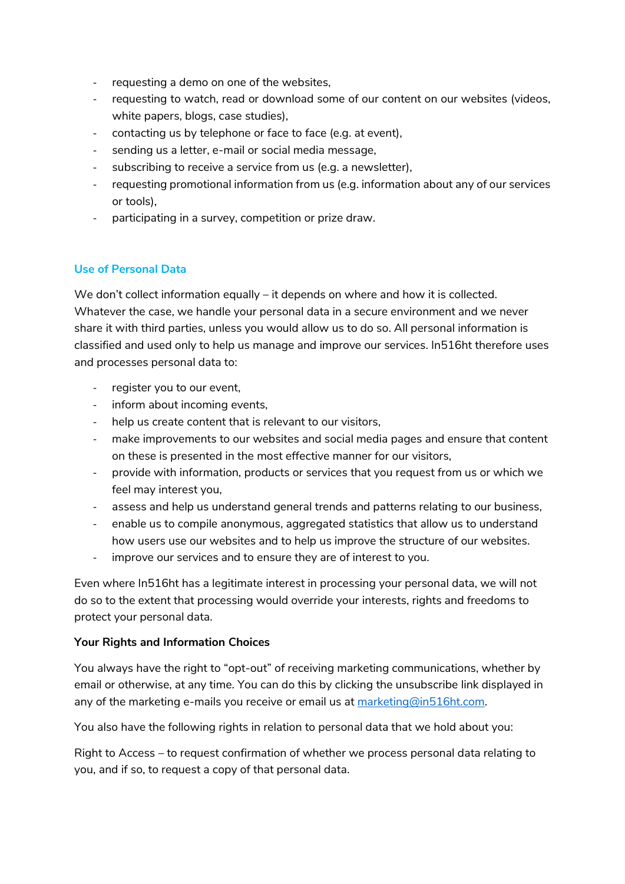- requesting a demo on one of the websites,
- requesting to watch, read or download some of our content on our websites (videos, white papers, blogs, case studies),
- contacting us by telephone or face to face (e.g. at event),
- sending us a letter, e-mail or social media message,
- subscribing to receive a service from us (e.g. a newsletter),
- requesting promotional information from us (e.g. information about any of our services or tools),
- participating in a survey, competition or prize draw.

## **Use of Personal Data**

We don't collect information equally – it depends on where and how it is collected. Whatever the case, we handle your personal data in a secure environment and we never share it with third parties, unless you would allow us to do so. All personal information is classified and used only to help us manage and improve our services. In516ht therefore uses and processes personal data to:

- register you to our event,
- inform about incoming events,
- help us create content that is relevant to our visitors,
- make improvements to our websites and social media pages and ensure that content on these is presented in the most effective manner for our visitors,
- provide with information, products or services that you request from us or which we feel may interest you,
- assess and help us understand general trends and patterns relating to our business,
- enable us to compile anonymous, aggregated statistics that allow us to understand how users use our websites and to help us improve the structure of our websites.
- improve our services and to ensure they are of interest to you.

Even where In516ht has a legitimate interest in processing your personal data, we will not do so to the extent that processing would override your interests, rights and freedoms to protect your personal data.

### **Your Rights and Information Choices**

You always have the right to "opt-out" of receiving marketing communications, whether by email or otherwise, at any time. You can do this by clicking the unsubscribe link displayed in any of the marketing e-mails you receive or email us at [marketing@in516ht.com.](mailto:marketing@in516ht.com)

You also have the following rights in relation to personal data that we hold about you:

Right to Access – to request confirmation of whether we process personal data relating to you, and if so, to request a copy of that personal data.